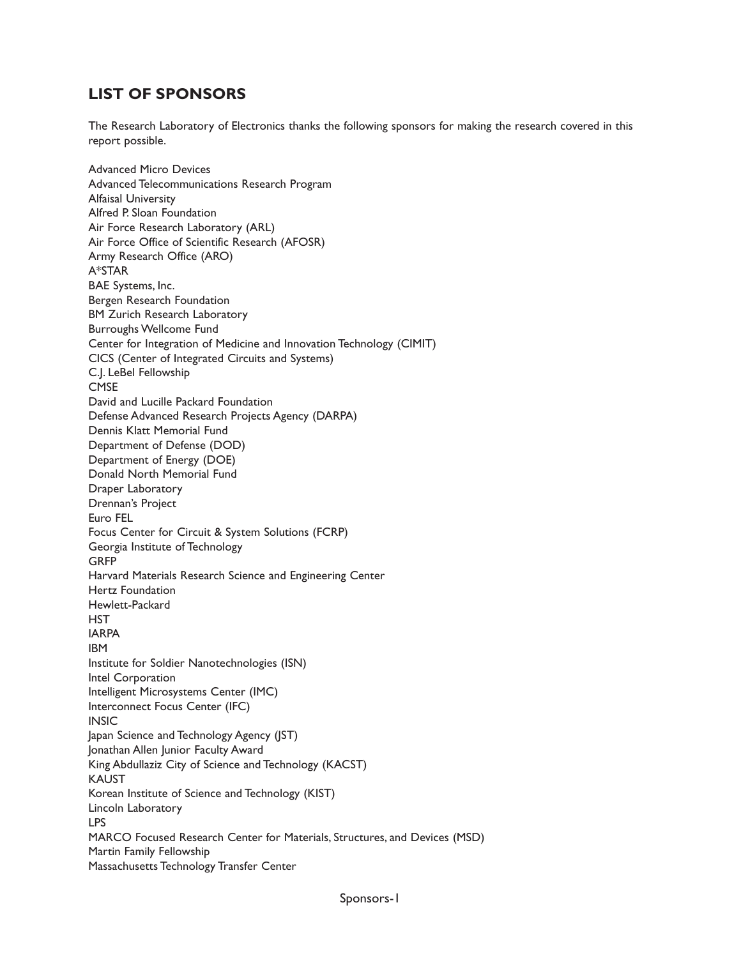## **LIST OF SPONSORS**

The Research Laboratory of Electronics thanks the following sponsors for making the research covered in this report possible.

Advanced Micro Devices Advanced Telecommunications Research Program Alfaisal University Alfred P. Sloan Foundation Air Force Research Laboratory (ARL) Air Force Office of Scientific Research (AFOSR) Army Research Office (ARO) A\*STAR BAE Systems, Inc. Bergen Research Foundation BM Zurich Research Laboratory Burroughs Wellcome Fund Center for Integration of Medicine and Innovation Technology (CIMIT) CICS (Center of Integrated Circuits and Systems) C.J. LeBel Fellowship **CMSE** David and Lucille Packard Foundation Defense Advanced Research Projects Agency (DARPA) Dennis Klatt Memorial Fund Department of Defense (DOD) Department of Energy (DOE) Donald North Memorial Fund Draper Laboratory Drennan's Project Euro FEL Focus Center for Circuit & System Solutions (FCRP) Georgia Institute of Technology **GRFP** Harvard Materials Research Science and Engineering Center Hertz Foundation Hewlett-Packard **HST** IARPA IBM Institute for Soldier Nanotechnologies (ISN) Intel Corporation Intelligent Microsystems Center (IMC) Interconnect Focus Center (IFC) **INSIC** Japan Science and Technology Agency (JST) Jonathan Allen Junior Faculty Award King Abdullaziz City of Science and Technology (KACST) KAUST Korean Institute of Science and Technology (KIST) Lincoln Laboratory LPS MARCO Focused Research Center for Materials, Structures, and Devices (MSD) Martin Family Fellowship Massachusetts Technology Transfer Center